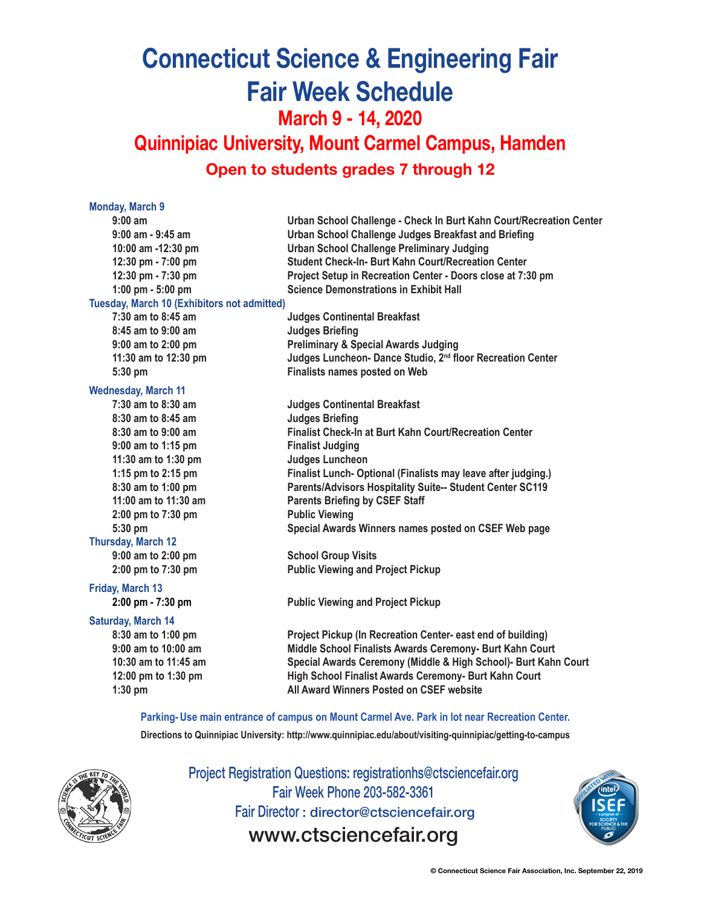# **Connecticut Science & Engineering Fair Fair Week Schedule**

**March 9 - 14, 2020**

**Quinnipiac University, Mount Carmel Campus, Hamden**

**Open to students grades 7 through 12**

| <b>Monday, March 9</b>                             |                                                                        |
|----------------------------------------------------|------------------------------------------------------------------------|
| $9:00$ am                                          | Urban School Challenge - Check In Burt Kahn Court/Recreation Center    |
| $9:00$ am - $9:45$ am                              | Urban School Challenge Judges Breakfast and Briefing                   |
| 10:00 am -12:30 pm                                 | <b>Urban School Challenge Preliminary Judging</b>                      |
| 12:30 pm - 7:00 pm                                 | Student Check-In- Burt Kahn Court/Recreation Center                    |
| 12:30 pm - 7:30 pm                                 | Project Setup in Recreation Center - Doors close at 7:30 pm            |
| 1:00 pm - 5:00 pm                                  | <b>Science Demonstrations in Exhibit Hall</b>                          |
| <b>Tuesday, March 10 (Exhibitors not admitted)</b> |                                                                        |
| $7:30$ am to $8:45$ am                             | <b>Judges Continental Breakfast</b>                                    |
| 8:45 am to 9:00 am                                 | <b>Judges Briefing</b>                                                 |
| 9:00 am to 2:00 pm                                 | <b>Preliminary &amp; Special Awards Judging</b>                        |
| 11:30 am to 12:30 pm                               | Judges Luncheon- Dance Studio, 2 <sup>nd</sup> floor Recreation Center |
| 5:30 pm                                            | Finalists names posted on Web                                          |
| <b>Wednesday, March 11</b>                         |                                                                        |
| 7:30 am to 8:30 am                                 | <b>Judges Continental Breakfast</b>                                    |
| 8:30 am to 8:45 am                                 | <b>Judges Briefing</b>                                                 |
| 8:30 am to 9:00 am                                 | Finalist Check-In at Burt Kahn Court/Recreation Center                 |
| 9:00 am to 1:15 pm                                 | <b>Finalist Judging</b>                                                |
| 11:30 am to 1:30 pm                                | <b>Judges Luncheon</b>                                                 |
| 1:15 pm to 2:15 pm                                 | Finalist Lunch- Optional (Finalists may leave after judging.)          |
| 8:30 am to 1:00 pm                                 | Parents/Advisors Hospitality Suite-- Student Center SC119              |
| 11:00 am to 11:30 am                               | <b>Parents Briefing by CSEF Staff</b>                                  |
| 2:00 pm to 7:30 pm                                 | <b>Public Viewing</b>                                                  |
| 5:30 pm                                            | Special Awards Winners names posted on CSEF Web page                   |
| <b>Thursday, March 12</b>                          |                                                                        |
| 9:00 am to 2:00 pm                                 | <b>School Group Visits</b>                                             |
| 2:00 pm to 7:30 pm                                 | <b>Public Viewing and Project Pickup</b>                               |
| Friday, March 13                                   |                                                                        |
| 2:00 pm - 7:30 pm                                  | <b>Public Viewing and Project Pickup</b>                               |
|                                                    |                                                                        |
| <b>Saturday, March 14</b><br>8:30 am to 1:00 pm    | Project Pickup (In Recreation Center- east end of building)            |
| 9:00 am to 10:00 am                                | Middle School Finalists Awards Ceremony- Burt Kahn Court               |
| 10:30 am to 11:45 am                               |                                                                        |
|                                                    | Special Awards Ceremony (Middle & High School)- Burt Kahn Court        |
| 12:00 pm to 1:30 pm                                | High School Finalist Awards Ceremony- Burt Kahn Court                  |

**1:30 pm All Award Winners Posted on CSEF website**

**Parking- Use main entrance of campus on Mount Carmel Ave. Park in lot near Recreation Center. Directions to Quinnipiac University: http://www.quinnipiac.edu/about/visiting-quinnipiac/getting-to-campus**



Project Registration Questions: registrationhs@ctsciencefair.org Fair Week Phone 203-582-3361 Fair Director : director@ctsciencefair.org www.ctsciencefair.org